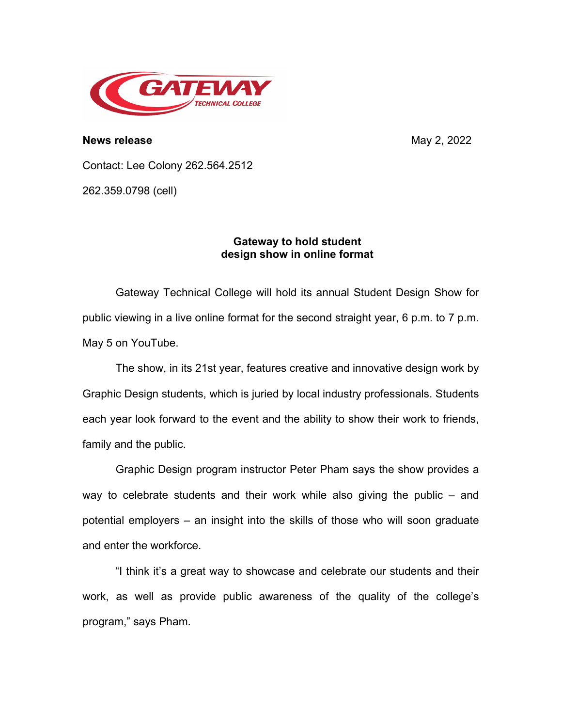

**News release** May 2, 2022

Contact: Lee Colony 262.564.2512

262.359.0798 (cell)

## **Gateway to hold student design show in online format**

Gateway Technical College will hold its annual Student Design Show for public viewing in a live online format for the second straight year, 6 p.m. to 7 p.m. May 5 on YouTube.

The show, in its 21st year, features creative and innovative design work by Graphic Design students, which is juried by local industry professionals. Students each year look forward to the event and the ability to show their work to friends, family and the public.

Graphic Design program instructor Peter Pham says the show provides a way to celebrate students and their work while also giving the public – and potential employers – an insight into the skills of those who will soon graduate and enter the workforce.

"I think it's a great way to showcase and celebrate our students and their work, as well as provide public awareness of the quality of the college's program," says Pham.